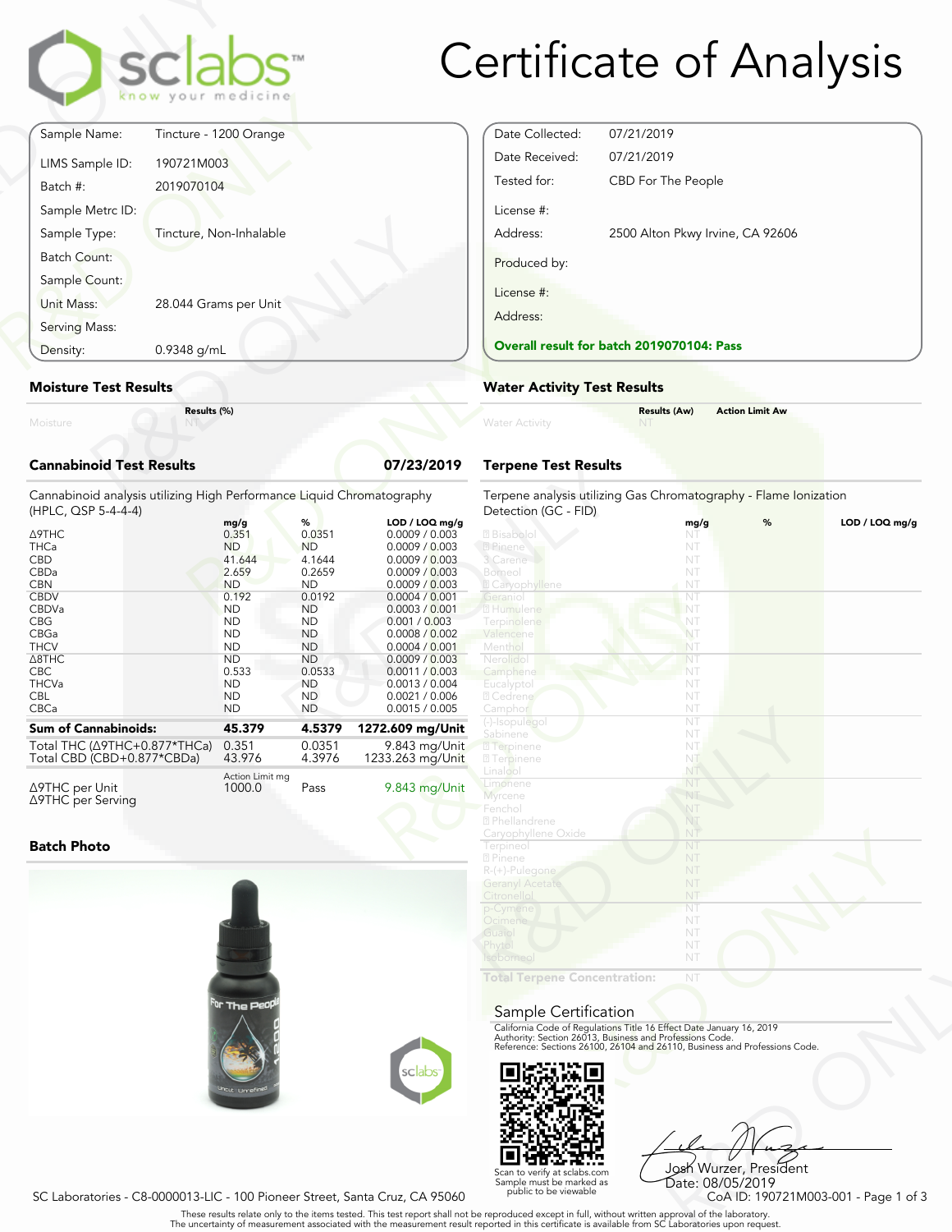

# Certificate of Analysis

| Moisture                         | Results (%)             |  |
|----------------------------------|-------------------------|--|
| <b>Moisture Test Results</b>     |                         |  |
| Density:                         | 0.9348 g/mL             |  |
| Serving Mass:                    |                         |  |
| Sample Count:<br>Unit Mass:      | 28.044 Grams per Unit   |  |
| <b>Batch Count:</b>              |                         |  |
| Sample Metrc ID:<br>Sample Type: | Tincture, Non-Inhalable |  |
| Batch #:                         | 2019070104              |  |
| LIMS Sample ID:                  | 190721M003              |  |
| Sample Name:                     | Tincture - 1200 Orange  |  |

## **Moisture Test Results**

## **Cannabinoid Test Results 07/23/2019**

| 0.9348 g/mL<br>Density:                                                                                                                                                 | <b>Overall result for batc</b>                                                                                                                             |                                                                                                                                                             |                                                                                                                                                                                                                                                         |                                                                                                                                                                                 |
|-------------------------------------------------------------------------------------------------------------------------------------------------------------------------|------------------------------------------------------------------------------------------------------------------------------------------------------------|-------------------------------------------------------------------------------------------------------------------------------------------------------------|---------------------------------------------------------------------------------------------------------------------------------------------------------------------------------------------------------------------------------------------------------|---------------------------------------------------------------------------------------------------------------------------------------------------------------------------------|
| <b>Moisture Test Results</b>                                                                                                                                            | <b>Water Activity Test R</b>                                                                                                                               |                                                                                                                                                             |                                                                                                                                                                                                                                                         |                                                                                                                                                                                 |
| Moisture                                                                                                                                                                | Results (%)                                                                                                                                                |                                                                                                                                                             |                                                                                                                                                                                                                                                         | <b>Water Activity</b>                                                                                                                                                           |
| <b>Cannabinoid Test Results</b>                                                                                                                                         | <b>Terpene Test Results</b>                                                                                                                                |                                                                                                                                                             |                                                                                                                                                                                                                                                         |                                                                                                                                                                                 |
| Cannabinoid analysis utilizing High Performance Liquid Chromatography<br>(HPLC, QSP 5-4-4-4)                                                                            |                                                                                                                                                            |                                                                                                                                                             |                                                                                                                                                                                                                                                         | Terpene analysis utilizing<br>Detection (GC - FID)                                                                                                                              |
| ∆9THC<br><b>THCa</b><br><b>CBD</b><br>CBDa<br><b>CBN</b><br><b>CBDV</b><br>CBDVa<br><b>CBG</b><br>CBGa<br><b>THCV</b><br>$\triangle$ 8THC<br><b>CBC</b><br><b>THCVa</b> | mg/g<br>0.351<br><b>ND</b><br>41.644<br>2.659<br><b>ND</b><br>0.192<br><b>ND</b><br><b>ND</b><br><b>ND</b><br><b>ND</b><br><b>ND</b><br>0.533<br><b>ND</b> | %<br>0.0351<br><b>ND</b><br>4.1644<br>0.2659<br><b>ND</b><br>0.0192<br><b>ND</b><br><b>ND</b><br><b>ND</b><br><b>ND</b><br><b>ND</b><br>0.0533<br><b>ND</b> | LOD / LOQ mg/g<br>0.0009 / 0.003<br>0.0009 / 0.003<br>0.0009 / 0.003<br>0.0009 / 0.003<br>0.0009 / 0.003<br>0.0004 / 0.001<br>0.0003 / 0.001<br>0.001 / 0.003<br>0.0008 / 0.002<br>0.0004 / 0.001<br>0.0009 / 0.003<br>0.0011 / 0.003<br>0.0013 / 0.004 | 2 Bisabolol<br>2 Pinene<br>3 Carene<br>Borneol<br><b>Z</b> Caryophyllene<br>Geraniol<br>2 Humulene<br>Terpinolene<br>Valencene<br>Menthol<br>Nerolido<br>Camphene<br>Eucalyptol |
| <b>CBL</b><br>CBCa                                                                                                                                                      | <b>ND</b><br><b>ND</b>                                                                                                                                     | ND.<br><b>ND</b>                                                                                                                                            | 0.0021 / 0.006<br>0.0015 / 0.005                                                                                                                                                                                                                        | 2 Cedrene<br>Camphor<br>(-)-Isopulegol                                                                                                                                          |
| <b>Sum of Cannabinoids:</b>                                                                                                                                             | 45.379                                                                                                                                                     | 4.5379                                                                                                                                                      | 1272.609 mg/Unit                                                                                                                                                                                                                                        | Sabinene                                                                                                                                                                        |
| Total THC (∆9THC+0.877*THCa)<br>Total CBD (CBD+0.877*CBDa)                                                                                                              | 0.351<br>43.976                                                                                                                                            | 0.0351<br>4.3976                                                                                                                                            | 9.843 mg/Unit<br>1233.263 mg/Unit                                                                                                                                                                                                                       | 2 Terpinene<br><b>27</b> Terpinene                                                                                                                                              |
| $\triangle$ 9THC per Unit                                                                                                                                               | Action Limit mg<br>1000.0                                                                                                                                  | Pass                                                                                                                                                        | 9.843 mg/Unit                                                                                                                                                                                                                                           | Linalool<br>Limonene                                                                                                                                                            |

### **Batch Photo**

Δ9THC per Serving





NT<br>
NT<br>
Fect Date January 16, 2019<br>
rofessions Code.<br>
9110, Business and Professions Code.<br>
910, Business and Professions Code.<br>
9206 Wurzer, President<br>
Date: 08/05/2019<br>
CoA ID: 190721M003-001 - Page 1 of 3<br>
pproval of th Josh Wurzer, President Date: 08/05/2019<br>CoA ID: 190721M003-001 - Page 1 of 3

SC Laboratories - C8-0000013-LIC - 100 Pioneer Street, Santa Cruz, CA 95060

. These results relate only to the items tested. This test report shall not be reproduced except in full, without written approval of the laboratory.<br>The uncertainty of measurement associated with the measurement result re

Scan to verify at sclabs.com Sample must be marked as public to be viewable

Terpene analysis utilizing Gas Chromatography - Flame Ionization .<br>Pection (GC - FID)

**Water Activity Test Results**

Date Collected: 07/21/2019 Date Received: 07/21/2019

License #:

Produced by:

License #: Address:

Tested for: CBD For The People

**Overall result for batch 2019070104: Pass**

Address: 2500 Alton Pkwy Irvine, CA 92606

|                | DEIECHUIT (UC = 1 ID)                                                                                                            |      |   |                |
|----------------|----------------------------------------------------------------------------------------------------------------------------------|------|---|----------------|
| LOD / LOQ mg/g |                                                                                                                                  | mg/g | % | LOD / LOQ mg/g |
| 0.0009 / 0.003 | 2 Bisabolol                                                                                                                      | NT   |   |                |
| 0.0009 / 0.003 | 2 Pinene                                                                                                                         | NT   |   |                |
| 0.0009 / 0.003 | 3 Carene                                                                                                                         | NT   |   |                |
| 0.0009 / 0.003 | Borneol                                                                                                                          | NT   |   |                |
| 0.0009 / 0.003 | <b>Z</b> Caryophyllene                                                                                                           | NT   |   |                |
| 0.0004 / 0.001 | Geranio                                                                                                                          | NT   |   |                |
|                | 2 Humulene                                                                                                                       |      |   |                |
| 0.0003 / 0.001 |                                                                                                                                  | NT   |   |                |
| 0.001 / 0.003  | Terpinolene                                                                                                                      | NT   |   |                |
| 0.0008 / 0.002 | Valencene                                                                                                                        | NT   |   |                |
| 0.0004 / 0.001 | Menthol                                                                                                                          | NT   |   |                |
| 0.0009 / 0.003 | Nerolidol                                                                                                                        | NT   |   |                |
| 0.0011 / 0.003 | Camphene                                                                                                                         | NT   |   |                |
| 0.0013 / 0.004 | Eucalyptol                                                                                                                       | NT   |   |                |
| 0.0021 / 0.006 | 2 Cedrene                                                                                                                        | NT   |   |                |
| 0.0015 / 0.005 | Camphor                                                                                                                          | NT   |   |                |
|                | (-)-Isopulegol                                                                                                                   | NT   |   |                |
| 2.609 mg/Unit  | Sabinene                                                                                                                         | NT   |   |                |
| 9.843 mg/Unit  |                                                                                                                                  |      |   |                |
|                | <b>7</b> Terpinene                                                                                                               | NT.  |   |                |
| 33.263 mg/Unit | <b>7</b> Terpinene                                                                                                               | NT   |   |                |
|                | Linalool                                                                                                                         | NT   |   |                |
| 9.843 mg/Unit  | Limonene                                                                                                                         | NT   |   |                |
|                | Myrcene                                                                                                                          | NT   |   |                |
|                | Fenchol                                                                                                                          | NT   |   |                |
|                | <sup>2</sup> Phellandrene                                                                                                        | NT   |   |                |
|                | Caryophyllene Oxide                                                                                                              | NT   |   |                |
|                | Terpineol                                                                                                                        | NT   |   |                |
|                | 2 Pinene                                                                                                                         | NT   |   |                |
|                | $R-(+)$ -Pulegone                                                                                                                | NT   |   |                |
|                | <b>Geranyl Acetate</b>                                                                                                           | NT   |   |                |
|                | Citronellol                                                                                                                      | NT   |   |                |
|                |                                                                                                                                  | NT   |   |                |
|                | p-Cymene                                                                                                                         |      |   |                |
|                | Ocimene                                                                                                                          | NT   |   |                |
|                | Guaiol                                                                                                                           | NT   |   |                |
|                | Phytol                                                                                                                           | NT   |   |                |
|                | Isoborneol                                                                                                                       | NT   |   |                |
|                |                                                                                                                                  |      |   |                |
|                | <b>Total Terpene Concentration:</b>                                                                                              | NT   |   |                |
|                |                                                                                                                                  |      |   |                |
|                |                                                                                                                                  |      |   |                |
|                | Sample Certification                                                                                                             |      |   |                |
|                | California Code of Regulations Title 16 Effect Date January 16, 2019<br>Authority: Section 26013, Business and Professions Code. |      |   |                |
|                |                                                                                                                                  |      |   |                |
|                | Reference: Sections 26100, 26104 and 26110, Business and Professions Code.                                                       |      |   |                |
|                |                                                                                                                                  |      |   |                |
| sclabs         |                                                                                                                                  |      |   |                |
|                |                                                                                                                                  |      |   |                |
|                |                                                                                                                                  |      |   |                |
|                |                                                                                                                                  |      |   |                |

**Results (Aw) Action Limit Aw**

## Sample Certification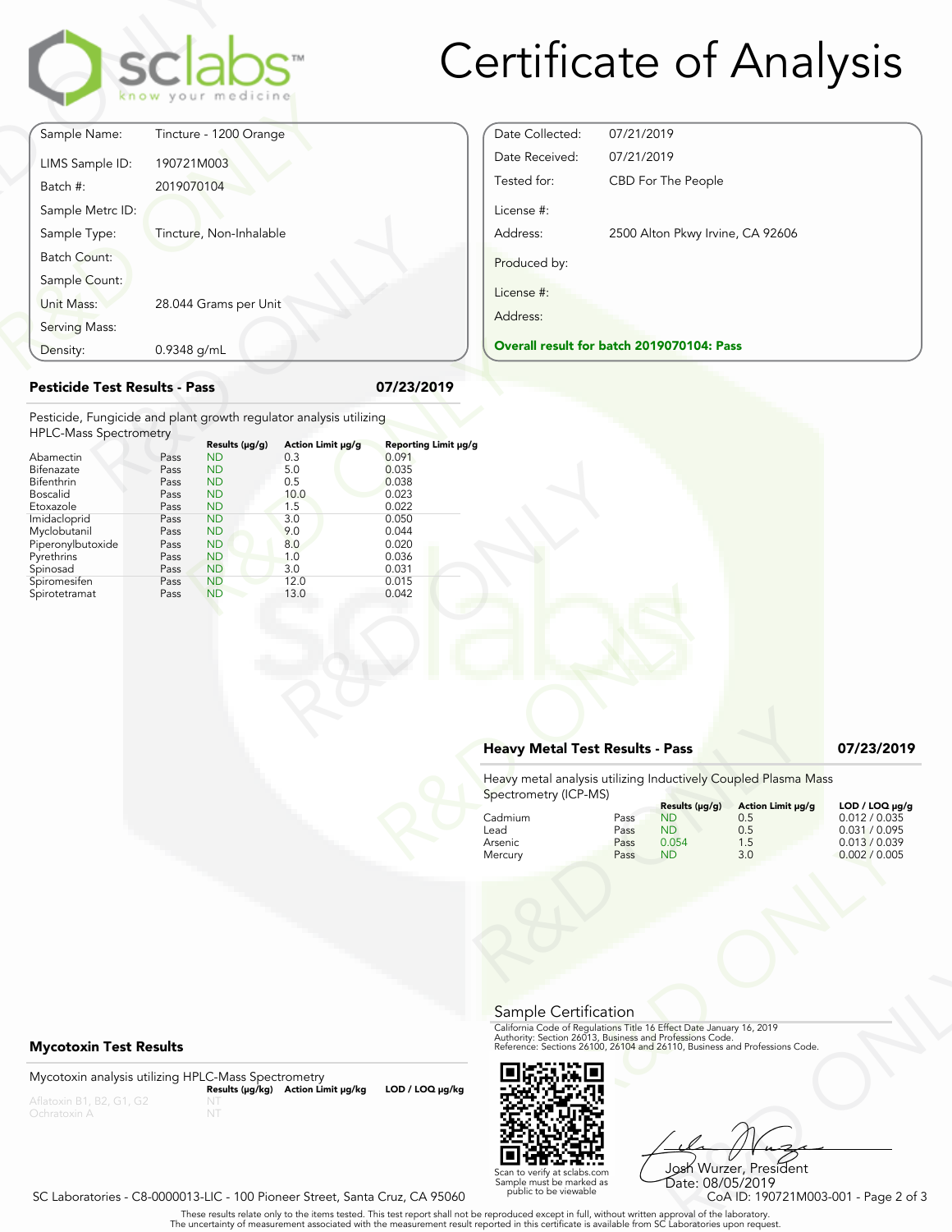

# Certificate of Analysis

Date Collected: 07/21/2019 Date Received: 07/21/2019

License #:

Produced by:

License #: Address:

Tested for: CBD For The People

**Overall result for batch 2019070104: Pass**

Address: 2500 Alton Pkwy Irvine, CA 92606

|                                                                                                     |             | know your medicine          |                          |                            |
|-----------------------------------------------------------------------------------------------------|-------------|-----------------------------|--------------------------|----------------------------|
| Sample Name:                                                                                        |             | Tincture - 1200 Orange      |                          |                            |
| LIMS Sample ID:                                                                                     | 190721M003  |                             |                          |                            |
| Batch #:                                                                                            | 2019070104  |                             |                          |                            |
| Sample Metrc ID:                                                                                    |             |                             |                          |                            |
| Sample Type:                                                                                        |             | Tincture, Non-Inhalable     |                          |                            |
| <b>Batch Count:</b>                                                                                 |             |                             |                          |                            |
| Sample Count:                                                                                       |             |                             |                          |                            |
| Unit Mass:                                                                                          |             | 28.044 Grams per Unit       |                          |                            |
| Serving Mass:                                                                                       |             |                             |                          |                            |
| Density:                                                                                            | 0.9348 g/mL |                             |                          |                            |
| <b>Pesticide Test Results - Pass</b>                                                                |             |                             |                          | 07/23/2019                 |
| Pesticide, Fungicide and plant growth regulator analysis utilizing<br><b>HPLC-Mass Spectrometry</b> |             |                             |                          |                            |
| Abamectin                                                                                           | Pass        | Results (µg/g)<br><b>ND</b> | Action Limit µg/g<br>0.3 | Reporting Limit µ<br>0.091 |
| Bifenazate                                                                                          | Pass        | <b>ND</b>                   | 5.0                      | 0.035                      |
| Bifenthrin                                                                                          | Pass        | <b>ND</b>                   | 0.5                      | 0.038                      |
| $D - - - - 11 - 1$                                                                                  | D---        | <b>NID</b>                  | 10 <sub>0</sub>          | 0.022                      |

### **Pesticide Test Results - Pass 07/23/2019**

| Density:                                                           | 0.9348 g/mL |                |                   |                      | <b>Overall result for batc</b> |
|--------------------------------------------------------------------|-------------|----------------|-------------------|----------------------|--------------------------------|
| <b>Pesticide Test Results - Pass</b>                               |             |                |                   | 07/23/2019           |                                |
| Pesticide, Fungicide and plant growth regulator analysis utilizing |             |                |                   |                      |                                |
| <b>HPLC-Mass Spectrometry</b>                                      |             | Results (µg/g) | Action Limit µg/g | Reporting Limit µg/g |                                |
| Abamectin                                                          | Pass        | <b>ND</b>      | 0.3               | 0.091                |                                |
| Bifenazate                                                         | Pass        | <b>ND</b>      | 5.0               | 0.035                |                                |
| Bifenthrin                                                         | Pass        | <b>ND</b>      | 0.5               | 0.038                |                                |
| <b>Boscalid</b>                                                    | Pass        | <b>ND</b>      | 10.0              | 0.023                |                                |
| Etoxazole                                                          | Pass        | <b>ND</b>      | 1.5               | 0.022                |                                |
| Imidacloprid                                                       | Pass        | <b>ND</b>      | 3.0               | 0.050                |                                |
| Myclobutanil                                                       | Pass        | <b>ND</b>      | 9.0               | 0.044                |                                |
| Piperonylbutoxide                                                  | Pass        | <b>ND</b>      | 8.0               | 0.020                |                                |
| Pyrethrins                                                         | Pass        | <b>ND</b>      | 1.0               | 0.036                |                                |
| Spinosad                                                           | Pass        | <b>ND</b>      | 3.0               | 0.031                |                                |
| Spiromesifen                                                       | Pass        | <b>ND</b>      | 12.0              | 0.015                |                                |
| Spirotetramat                                                      | Pass        | <b>ND</b>      | 13.0              | 0.042                |                                |
|                                                                    |             |                |                   |                      |                                |
|                                                                    |             |                |                   |                      |                                |
|                                                                    |             |                |                   |                      |                                |
|                                                                    |             |                |                   |                      |                                |
|                                                                    |             |                |                   |                      |                                |
|                                                                    |             |                |                   |                      |                                |
|                                                                    |             |                |                   |                      |                                |
|                                                                    |             |                |                   |                      |                                |
|                                                                    |             |                |                   |                      |                                |
|                                                                    |             |                |                   |                      |                                |

## **Heavy Metal Test Results - Pass 07/23/2019**

| 0.042           |                                        |                              |                                                                     |                                                                                                                                                                                                                |                                                                                    |
|-----------------|----------------------------------------|------------------------------|---------------------------------------------------------------------|----------------------------------------------------------------------------------------------------------------------------------------------------------------------------------------------------------------|------------------------------------------------------------------------------------|
|                 | <b>Heavy Metal Test Results - Pass</b> |                              |                                                                     |                                                                                                                                                                                                                | 07/23/2019                                                                         |
|                 | Spectrometry (ICP-MS)                  |                              |                                                                     | Heavy metal analysis utilizing Inductively Coupled Plasma Mass                                                                                                                                                 |                                                                                    |
|                 | Cadmium<br>Lead<br>Arsenic<br>Mercury  | Pass<br>Pass<br>Pass<br>Pass | Results (µg/g)<br><b>ND</b><br>N <sub>D</sub><br>0.054<br><b>ND</b> | Action Limit µg/g<br>0.5<br>0.5<br>1.5<br>3.0                                                                                                                                                                  | LOD / LOQ µg/g<br>0.012 / 0.035<br>0.031 / 0.095<br>0.013 / 0.039<br>0.002 / 0.005 |
|                 |                                        |                              |                                                                     |                                                                                                                                                                                                                |                                                                                    |
|                 | Sample Certification                   |                              |                                                                     | California Code of Regulations Title 16 Effect Date January 16, 2019<br>Authority: Section 26013, Business and Professions Code.<br>Reference: Sections 26100, 26104 and 26110, Business and Professions Code. |                                                                                    |
| LOD / LOQ µg/kg |                                        |                              |                                                                     |                                                                                                                                                                                                                |                                                                                    |



Frect Date January 16, 2019<br>
Trofessions Code.<br>
110, Business and Professions Code.<br>
110, Business and Professions Code.<br>
108 Wurzzer, President<br>
Date: 08/05/2019<br>
CoA ID: 190721M003-001 - Page 2 of 3<br>
pproval of the labor Josh Wurzer, President Date: 08/05/2019

### SC Laboratories - C8-0000013-LIC - 100 Pioneer Street, Santa Cruz, CA 95060

. These results relate only to the items tested. This test report shall not be reproduced except in full, without written approval of the laboratory.<br>The uncertainty of measurement associated with the measurement result re

**Mycotoxin Test Results**

Mycotoxin analysis utilizing HPLC-Mass Spectrometry **Results (μg/kg) Action Limit μg/kg LOD / LOQ μg/kg** NT

Scan to verify at sclabs.com Sample must be marked as public to be viewable